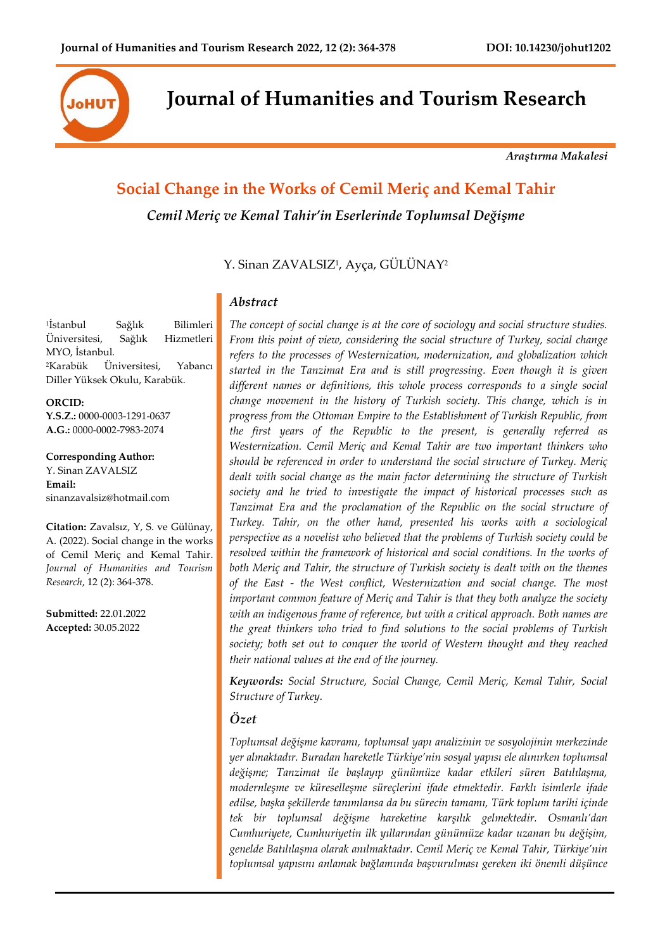

**Journal of Humanities and Tourism Research**

*Araştırma Makalesi*

# **Social Change in the Works of Cemil Meriç and Kemal Tahir** *Cemil Meriç ve Kemal Tahir'in Eserlerinde Toplumsal Değişme*

Y. Sinan ZAVALSIZ<sup>1</sup>, Ayça, GULUNAY<sup>2</sup>

## *Abstract*

*The concept of social change is at the core of sociology and social structure studies. From this point of view, considering the social structure of Turkey, social change refers to the processes of Westernization, modernization, and globalization which started in the Tanzimat Era and is still progressing. Even though it is given different names or definitions, this whole process corresponds to a single social change movement in the history of Turkish society. This change, which is in progress from the Ottoman Empire to the Establishment of Turkish Republic, from the first years of the Republic to the present, is generally referred as Westernization. Cemil Meriç and Kemal Tahir are two important thinkers who should be referenced in order to understand the social structure of Turkey. Meriç dealt with social change as the main factor determining the structure of Turkish society and he tried to investigate the impact of historical processes such as Tanzimat Era and the proclamation of the Republic on the social structure of Turkey. Tahir, on the other hand, presented his works with a sociological perspective as a novelist who believed that the problems of Turkish society could be resolved within the framework of historical and social conditions. In the works of both Meriç and Tahir, the structure of Turkish society is dealt with on the themes of the East - the West conflict, Westernization and social change. The most important common feature of Meriç and Tahir is that they both analyze the society with an indigenous frame of reference, but with a critical approach. Both names are the great thinkers who tried to find solutions to the social problems of Turkish society; both set out to conquer the world of Western thought and they reached their national values at the end of the journey.*

*Keywords: Social Structure, Social Change, Cemil Meriç, Kemal Tahir, Social Structure of Turkey.*

## *Özet*

*Toplumsal değişme kavramı, toplumsal yapı analizinin ve sosyolojinin merkezinde yer almaktadır. Buradan hareketle Türkiye'nin sosyal yapısı ele alınırken toplumsal değişme; Tanzimat ile başlayıp günümüze kadar etkileri süren Batılılaşma, modernleşme ve küreselleşme süreçlerini ifade etmektedir. Farklı isimlerle ifade edilse, başka şekillerde tanımlansa da bu sürecin tamamı, Türk toplum tarihi içinde tek bir toplumsal değişme hareketine karşılık gelmektedir. Osmanlı'dan Cumhuriyete, Cumhuriyetin ilk yıllarından günümüze kadar uzanan bu değişim, genelde Batılılaşma olarak anılmaktadır. Cemil Meriç ve Kemal Tahir, Türkiye'nin toplumsal yapısını anlamak bağlamında başvurulması gereken iki önemli düşünce* 

<sup>1</sup>İstanbul Sağlık Bilimleri Üniversitesi, Sağlık Hizmetleri MYO, İstanbul. <sup>2</sup>Karabük Üniversitesi, Yabancı Diller Yüksek Okulu, Karabük.

**ORCID: Y.S.Z.:** 0000-0003-1291-0637 **A.G.:** 0000-0002-7983-2074

**Corresponding Author:** Y. Sinan ZAVALSIZ **Email:** sinanzavalsiz@hotmail.com

**Citation:** Zavalsız, Y, S. ve Gülünay, A. (2022). Social change in the works of Cemil Meriç and Kemal Tahir. *Journal of Humanities and Tourism Research*, 12 (2): 364-378.

**Submitted:** 22.01.2022 **Accepted:** 30.05.2022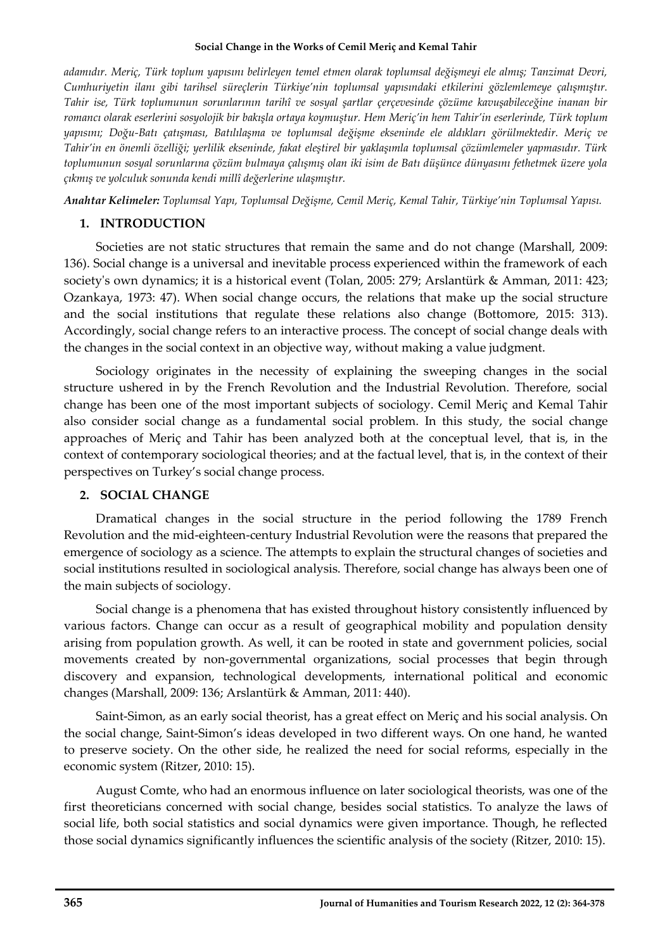*adamıdır. Meriç, Türk toplum yapısını belirleyen temel etmen olarak toplumsal değişmeyi ele almış; Tanzimat Devri, Cumhuriyetin ilanı gibi tarihsel süreçlerin Türkiye'nin toplumsal yapısındaki etkilerini gözlemlemeye çalışmıştır. Tahir ise, Türk toplumunun sorunlarının tarihî ve sosyal şartlar çerçevesinde çözüme kavuşabileceğine inanan bir romancı olarak eserlerini sosyolojik bir bakışla ortaya koymuştur. Hem Meriç'in hem Tahir'in eserlerinde, Türk toplum yapısını; Doğu-Batı çatışması, Batılılaşma ve toplumsal değişme ekseninde ele aldıkları görülmektedir. Meriç ve Tahir'in en önemli özelliği; yerlilik ekseninde, fakat eleştirel bir yaklaşımla toplumsal çözümlemeler yapmasıdır. Türk toplumunun sosyal sorunlarına çözüm bulmaya çalışmış olan iki isim de Batı düşünce dünyasını fethetmek üzere yola çıkmış ve yolculuk sonunda kendi millî değerlerine ulaşmıştır.*

*Anahtar Kelimeler: Toplumsal Yapı, Toplumsal Değişme, Cemil Meriç, Kemal Tahir, Türkiye'nin Toplumsal Yapısı.*

## **1. INTRODUCTION**

Societies are not static structures that remain the same and do not change (Marshall, 2009: 136). Social change is a universal and inevitable process experienced within the framework of each society's own dynamics; it is a historical event (Tolan, 2005: 279; Arslantürk & Amman, 2011: 423; Ozankaya, 1973: 47). When social change occurs, the relations that make up the social structure and the social institutions that regulate these relations also change (Bottomore, 2015: 313). Accordingly, social change refers to an interactive process. The concept of social change deals with the changes in the social context in an objective way, without making a value judgment.

Sociology originates in the necessity of explaining the sweeping changes in the social structure ushered in by the French Revolution and the Industrial Revolution. Therefore, social change has been one of the most important subjects of sociology. Cemil Meriç and Kemal Tahir also consider social change as a fundamental social problem. In this study, the social change approaches of Meriç and Tahir has been analyzed both at the conceptual level, that is, in the context of contemporary sociological theories; and at the factual level, that is, in the context of their perspectives on Turkey's social change process.

## **2. SOCIAL CHANGE**

Dramatical changes in the social structure in the period following the 1789 French Revolution and the mid-eighteen-century Industrial Revolution were the reasons that prepared the emergence of sociology as a science. The attempts to explain the structural changes of societies and social institutions resulted in sociological analysis. Therefore, social change has always been one of the main subjects of sociology.

Social change is a phenomena that has existed throughout history consistently influenced by various factors. Change can occur as a result of geographical mobility and population density arising from population growth. As well, it can be rooted in state and government policies, social movements created by non-governmental organizations, social processes that begin through discovery and expansion, technological developments, international political and economic changes (Marshall, 2009: 136; Arslantürk & Amman, 2011: 440).

Saint-Simon, as an early social theorist, has a great effect on Meriç and his social analysis. On the social change, Saint-Simon's ideas developed in two different ways. On one hand, he wanted to preserve society. On the other side, he realized the need for social reforms, especially in the economic system (Ritzer, 2010: 15).

August Comte, who had an enormous influence on later sociological theorists, was one of the first theoreticians concerned with social change, besides social statistics. To analyze the laws of social life, both social statistics and social dynamics were given importance. Though, he reflected those social dynamics significantly influences the scientific analysis of the society (Ritzer, 2010: 15).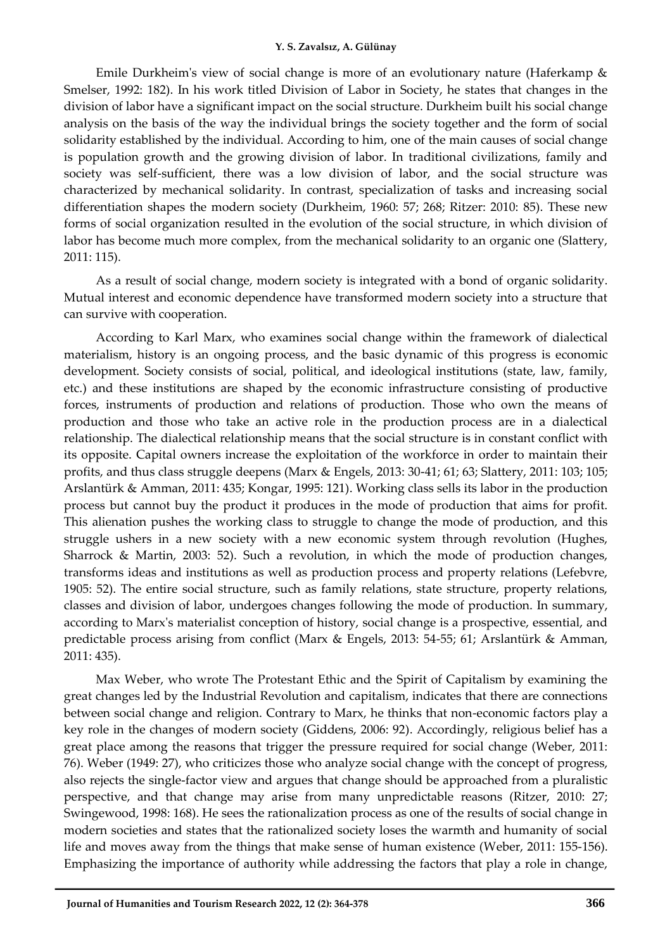Emile Durkheim's view of social change is more of an evolutionary nature (Haferkamp & Smelser, 1992: 182). In his work titled Division of Labor in Society, he states that changes in the division of labor have a significant impact on the social structure. Durkheim built his social change analysis on the basis of the way the individual brings the society together and the form of social solidarity established by the individual. According to him, one of the main causes of social change is population growth and the growing division of labor. In traditional civilizations, family and society was self-sufficient, there was a low division of labor, and the social structure was characterized by mechanical solidarity. In contrast, specialization of tasks and increasing social differentiation shapes the modern society (Durkheim, 1960: 57; 268; Ritzer: 2010: 85). These new forms of social organization resulted in the evolution of the social structure, in which division of labor has become much more complex, from the mechanical solidarity to an organic one (Slattery, 2011: 115).

As a result of social change, modern society is integrated with a bond of organic solidarity. Mutual interest and economic dependence have transformed modern society into a structure that can survive with cooperation.

According to Karl Marx, who examines social change within the framework of dialectical materialism, history is an ongoing process, and the basic dynamic of this progress is economic development. Society consists of social, political, and ideological institutions (state, law, family, etc.) and these institutions are shaped by the economic infrastructure consisting of productive forces, instruments of production and relations of production. Those who own the means of production and those who take an active role in the production process are in a dialectical relationship. The dialectical relationship means that the social structure is in constant conflict with its opposite. Capital owners increase the exploitation of the workforce in order to maintain their profits, and thus class struggle deepens (Marx & Engels, 2013: 30-41; 61; 63; Slattery, 2011: 103; 105; Arslantürk & Amman, 2011: 435; Kongar, 1995: 121). Working class sells its labor in the production process but cannot buy the product it produces in the mode of production that aims for profit. This alienation pushes the working class to struggle to change the mode of production, and this struggle ushers in a new society with a new economic system through revolution (Hughes, Sharrock & Martin, 2003: 52). Such a revolution, in which the mode of production changes, transforms ideas and institutions as well as production process and property relations (Lefebvre, 1905: 52). The entire social structure, such as family relations, state structure, property relations, classes and division of labor, undergoes changes following the mode of production. In summary, according to Marx's materialist conception of history, social change is a prospective, essential, and predictable process arising from conflict (Marx & Engels, 2013: 54-55; 61; Arslantürk & Amman, 2011: 435).

Max Weber, who wrote The Protestant Ethic and the Spirit of Capitalism by examining the great changes led by the Industrial Revolution and capitalism, indicates that there are connections between social change and religion. Contrary to Marx, he thinks that non-economic factors play a key role in the changes of modern society (Giddens, 2006: 92). Accordingly, religious belief has a great place among the reasons that trigger the pressure required for social change (Weber, 2011: 76). Weber (1949: 27), who criticizes those who analyze social change with the concept of progress, also rejects the single-factor view and argues that change should be approached from a pluralistic perspective, and that change may arise from many unpredictable reasons (Ritzer, 2010: 27; Swingewood, 1998: 168). He sees the rationalization process as one of the results of social change in modern societies and states that the rationalized society loses the warmth and humanity of social life and moves away from the things that make sense of human existence (Weber, 2011: 155-156). Emphasizing the importance of authority while addressing the factors that play a role in change,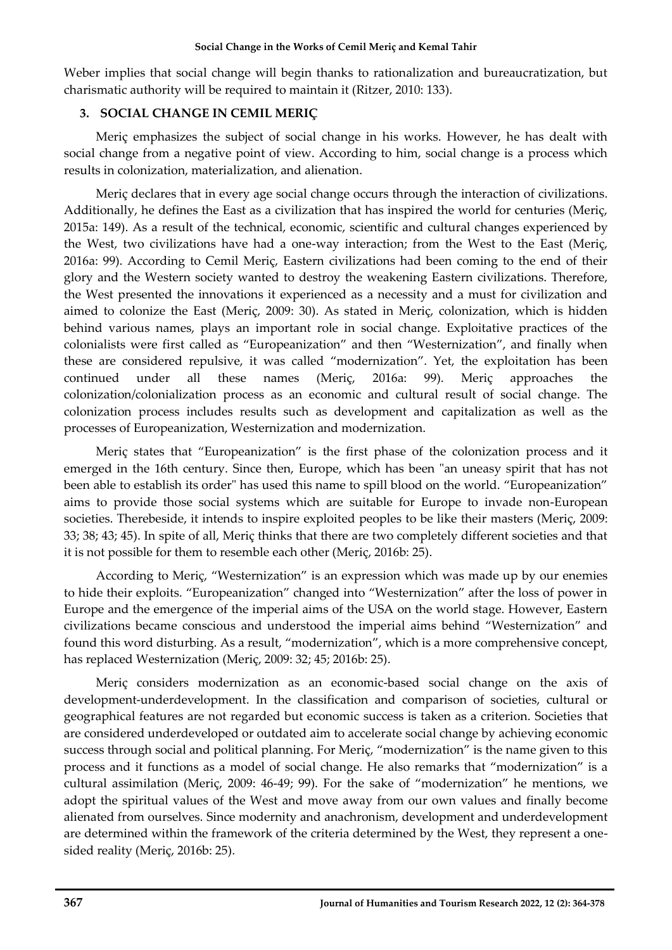Weber implies that social change will begin thanks to rationalization and bureaucratization, but charismatic authority will be required to maintain it (Ritzer, 2010: 133).

## **3. SOCIAL CHANGE IN CEMIL MERIÇ**

Meriç emphasizes the subject of social change in his works. However, he has dealt with social change from a negative point of view. According to him, social change is a process which results in colonization, materialization, and alienation.

Meriç declares that in every age social change occurs through the interaction of civilizations. Additionally, he defines the East as a civilization that has inspired the world for centuries (Meriç, 2015a: 149). As a result of the technical, economic, scientific and cultural changes experienced by the West, two civilizations have had a one-way interaction; from the West to the East (Meriç, 2016a: 99). According to Cemil Meriç, Eastern civilizations had been coming to the end of their glory and the Western society wanted to destroy the weakening Eastern civilizations. Therefore, the West presented the innovations it experienced as a necessity and a must for civilization and aimed to colonize the East (Meriç, 2009: 30). As stated in Meriç, colonization, which is hidden behind various names, plays an important role in social change. Exploitative practices of the colonialists were first called as "Europeanization" and then "Westernization", and finally when these are considered repulsive, it was called "modernization". Yet, the exploitation has been continued under all these names (Meriç, 2016a: 99). Meriç approaches the colonization/colonialization process as an economic and cultural result of social change. The colonization process includes results such as development and capitalization as well as the processes of Europeanization, Westernization and modernization.

Meriç states that "Europeanization" is the first phase of the colonization process and it emerged in the 16th century. Since then, Europe, which has been "an uneasy spirit that has not been able to establish its order" has used this name to spill blood on the world. "Europeanization" aims to provide those social systems which are suitable for Europe to invade non-European societies. Therebeside, it intends to inspire exploited peoples to be like their masters (Meriç, 2009: 33; 38; 43; 45). In spite of all, Meriç thinks that there are two completely different societies and that it is not possible for them to resemble each other (Meriç, 2016b: 25).

According to Meriç, "Westernization" is an expression which was made up by our enemies to hide their exploits. "Europeanization" changed into "Westernization" after the loss of power in Europe and the emergence of the imperial aims of the USA on the world stage. However, Eastern civilizations became conscious and understood the imperial aims behind "Westernization" and found this word disturbing. As a result, "modernization", which is a more comprehensive concept, has replaced Westernization (Meriç, 2009: 32; 45; 2016b: 25).

Meriç considers modernization as an economic-based social change on the axis of development-underdevelopment. In the classification and comparison of societies, cultural or geographical features are not regarded but economic success is taken as a criterion. Societies that are considered underdeveloped or outdated aim to accelerate social change by achieving economic success through social and political planning. For Meriç, "modernization" is the name given to this process and it functions as a model of social change. He also remarks that "modernization" is a cultural assimilation (Meriç, 2009: 46-49; 99). For the sake of "modernization" he mentions, we adopt the spiritual values of the West and move away from our own values and finally become alienated from ourselves. Since modernity and anachronism, development and underdevelopment are determined within the framework of the criteria determined by the West, they represent a onesided reality (Meriç, 2016b: 25).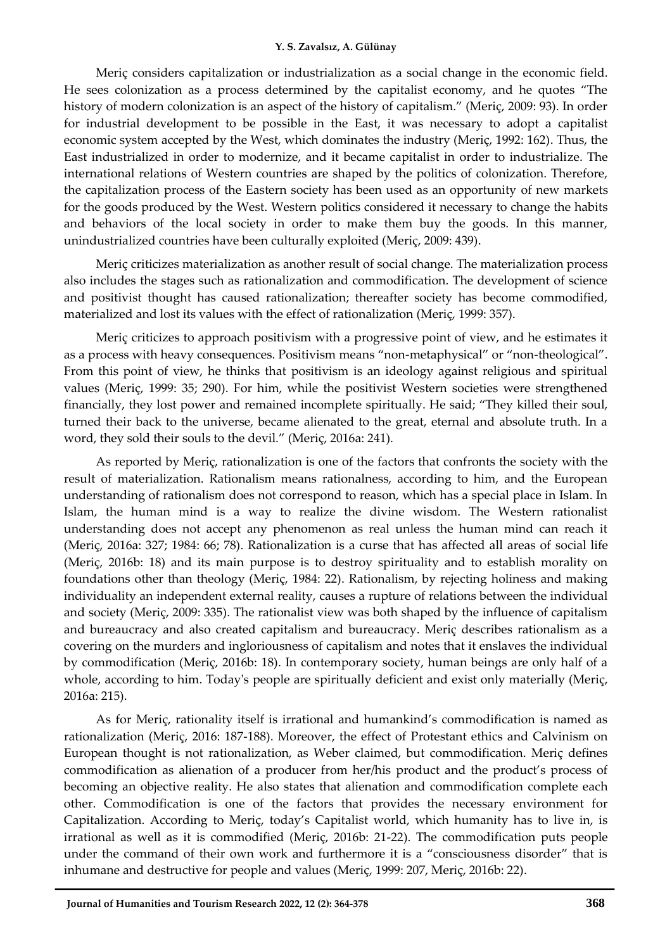Meriç considers capitalization or industrialization as a social change in the economic field. He sees colonization as a process determined by the capitalist economy, and he quotes "The history of modern colonization is an aspect of the history of capitalism." (Meriç, 2009: 93). In order for industrial development to be possible in the East, it was necessary to adopt a capitalist economic system accepted by the West, which dominates the industry (Meriç, 1992: 162). Thus, the East industrialized in order to modernize, and it became capitalist in order to industrialize. The international relations of Western countries are shaped by the politics of colonization. Therefore, the capitalization process of the Eastern society has been used as an opportunity of new markets for the goods produced by the West. Western politics considered it necessary to change the habits and behaviors of the local society in order to make them buy the goods. In this manner, unindustrialized countries have been culturally exploited (Meriç, 2009: 439).

Meriç criticizes materialization as another result of social change. The materialization process also includes the stages such as rationalization and commodification. The development of science and positivist thought has caused rationalization; thereafter society has become commodified, materialized and lost its values with the effect of rationalization (Meriç, 1999: 357).

Meriç criticizes to approach positivism with a progressive point of view, and he estimates it as a process with heavy consequences. Positivism means "non-metaphysical" or "non-theological". From this point of view, he thinks that positivism is an ideology against religious and spiritual values (Meriç, 1999: 35; 290). For him, while the positivist Western societies were strengthened financially, they lost power and remained incomplete spiritually. He said; "They killed their soul, turned their back to the universe, became alienated to the great, eternal and absolute truth. In a word, they sold their souls to the devil." (Meriç, 2016a: 241).

As reported by Meriç, rationalization is one of the factors that confronts the society with the result of materialization. Rationalism means rationalness, according to him, and the European understanding of rationalism does not correspond to reason, which has a special place in Islam. In Islam, the human mind is a way to realize the divine wisdom. The Western rationalist understanding does not accept any phenomenon as real unless the human mind can reach it (Meriç, 2016a: 327; 1984: 66; 78). Rationalization is a curse that has affected all areas of social life (Meriç, 2016b: 18) and its main purpose is to destroy spirituality and to establish morality on foundations other than theology (Meriç, 1984: 22). Rationalism, by rejecting holiness and making individuality an independent external reality, causes a rupture of relations between the individual and society (Meriç, 2009: 335). The rationalist view was both shaped by the influence of capitalism and bureaucracy and also created capitalism and bureaucracy. Meriç describes rationalism as a covering on the murders and ingloriousness of capitalism and notes that it enslaves the individual by commodification (Meriç, 2016b: 18). In contemporary society, human beings are only half of a whole, according to him. Today's people are spiritually deficient and exist only materially (Meriç, 2016a: 215).

As for Meriç, rationality itself is irrational and humankind's commodification is named as rationalization (Meriç, 2016: 187-188). Moreover, the effect of Protestant ethics and Calvinism on European thought is not rationalization, as Weber claimed, but commodification. Meriç defines commodification as alienation of a producer from her/his product and the product's process of becoming an objective reality. He also states that alienation and commodification complete each other. Commodification is one of the factors that provides the necessary environment for Capitalization. According to Meriç, today's Capitalist world, which humanity has to live in, is irrational as well as it is commodified (Meriç, 2016b: 21-22). The commodification puts people under the command of their own work and furthermore it is a "consciousness disorder" that is inhumane and destructive for people and values (Meriç, 1999: 207, Meriç, 2016b: 22).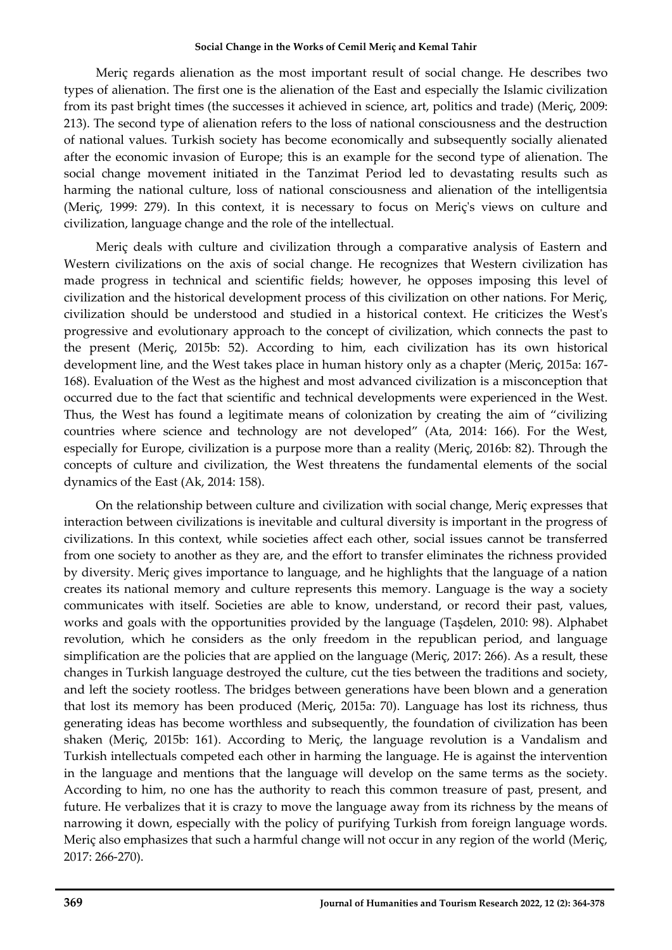Meriç regards alienation as the most important result of social change. He describes two types of alienation. The first one is the alienation of the East and especially the Islamic civilization from its past bright times (the successes it achieved in science, art, politics and trade) (Meriç, 2009: 213). The second type of alienation refers to the loss of national consciousness and the destruction of national values. Turkish society has become economically and subsequently socially alienated after the economic invasion of Europe; this is an example for the second type of alienation. The social change movement initiated in the Tanzimat Period led to devastating results such as harming the national culture, loss of national consciousness and alienation of the intelligentsia (Meriç, 1999: 279). In this context, it is necessary to focus on Meriç's views on culture and civilization, language change and the role of the intellectual.

Meriç deals with culture and civilization through a comparative analysis of Eastern and Western civilizations on the axis of social change. He recognizes that Western civilization has made progress in technical and scientific fields; however, he opposes imposing this level of civilization and the historical development process of this civilization on other nations. For Meriç, civilization should be understood and studied in a historical context. He criticizes the West's progressive and evolutionary approach to the concept of civilization, which connects the past to the present (Meriç, 2015b: 52). According to him, each civilization has its own historical development line, and the West takes place in human history only as a chapter (Meriç, 2015a: 167- 168). Evaluation of the West as the highest and most advanced civilization is a misconception that occurred due to the fact that scientific and technical developments were experienced in the West. Thus, the West has found a legitimate means of colonization by creating the aim of "civilizing countries where science and technology are not developed" (Ata, 2014: 166). For the West, especially for Europe, civilization is a purpose more than a reality (Meriç, 2016b: 82). Through the concepts of culture and civilization, the West threatens the fundamental elements of the social dynamics of the East (Ak, 2014: 158).

On the relationship between culture and civilization with social change, Meriç expresses that interaction between civilizations is inevitable and cultural diversity is important in the progress of civilizations. In this context, while societies affect each other, social issues cannot be transferred from one society to another as they are, and the effort to transfer eliminates the richness provided by diversity. Meriç gives importance to language, and he highlights that the language of a nation creates its national memory and culture represents this memory. Language is the way a society communicates with itself. Societies are able to know, understand, or record their past, values, works and goals with the opportunities provided by the language (Taşdelen, 2010: 98). Alphabet revolution, which he considers as the only freedom in the republican period, and language simplification are the policies that are applied on the language (Meriç, 2017: 266). As a result, these changes in Turkish language destroyed the culture, cut the ties between the traditions and society, and left the society rootless. The bridges between generations have been blown and a generation that lost its memory has been produced (Meriç, 2015a: 70). Language has lost its richness, thus generating ideas has become worthless and subsequently, the foundation of civilization has been shaken (Meriç, 2015b: 161). According to Meriç, the language revolution is a Vandalism and Turkish intellectuals competed each other in harming the language. He is against the intervention in the language and mentions that the language will develop on the same terms as the society. According to him, no one has the authority to reach this common treasure of past, present, and future. He verbalizes that it is crazy to move the language away from its richness by the means of narrowing it down, especially with the policy of purifying Turkish from foreign language words. Meriç also emphasizes that such a harmful change will not occur in any region of the world (Meriç, 2017: 266-270).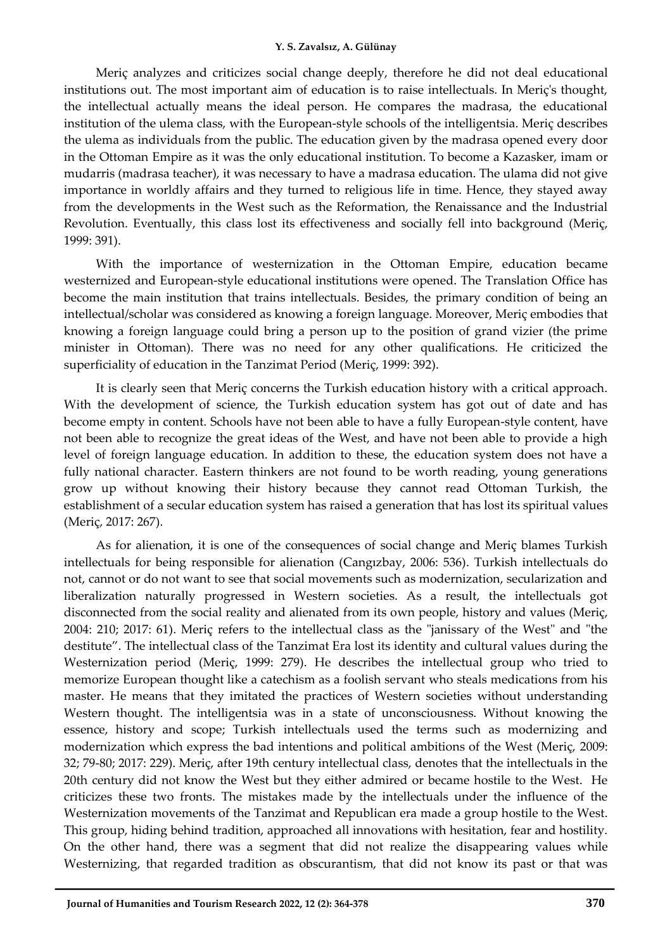Meriç analyzes and criticizes social change deeply, therefore he did not deal educational institutions out. The most important aim of education is to raise intellectuals. In Meriç's thought, the intellectual actually means the ideal person. He compares the madrasa, the educational institution of the ulema class, with the European-style schools of the intelligentsia. Meriç describes the ulema as individuals from the public. The education given by the madrasa opened every door in the Ottoman Empire as it was the only educational institution. To become a Kazasker, imam or mudarris (madrasa teacher), it was necessary to have a madrasa education. The ulama did not give importance in worldly affairs and they turned to religious life in time. Hence, they stayed away from the developments in the West such as the Reformation, the Renaissance and the Industrial Revolution. Eventually, this class lost its effectiveness and socially fell into background (Meriç, 1999: 391).

With the importance of westernization in the Ottoman Empire, education became westernized and European-style educational institutions were opened. The Translation Office has become the main institution that trains intellectuals. Besides, the primary condition of being an intellectual/scholar was considered as knowing a foreign language. Moreover, Meriç embodies that knowing a foreign language could bring a person up to the position of grand vizier (the prime minister in Ottoman). There was no need for any other qualifications. He criticized the superficiality of education in the Tanzimat Period (Meriç, 1999: 392).

It is clearly seen that Meriç concerns the Turkish education history with a critical approach. With the development of science, the Turkish education system has got out of date and has become empty in content. Schools have not been able to have a fully European-style content, have not been able to recognize the great ideas of the West, and have not been able to provide a high level of foreign language education. In addition to these, the education system does not have a fully national character. Eastern thinkers are not found to be worth reading, young generations grow up without knowing their history because they cannot read Ottoman Turkish, the establishment of a secular education system has raised a generation that has lost its spiritual values (Meriç, 2017: 267).

As for alienation, it is one of the consequences of social change and Meriç blames Turkish intellectuals for being responsible for alienation (Cangızbay, 2006: 536). Turkish intellectuals do not, cannot or do not want to see that social movements such as modernization, secularization and liberalization naturally progressed in Western societies. As a result, the intellectuals got disconnected from the social reality and alienated from its own people, history and values (Meriç, 2004: 210; 2017: 61). Meriç refers to the intellectual class as the "janissary of the West" and "the destitute". The intellectual class of the Tanzimat Era lost its identity and cultural values during the Westernization period (Meriç, 1999: 279). He describes the intellectual group who tried to memorize European thought like a catechism as a foolish servant who steals medications from his master. He means that they imitated the practices of Western societies without understanding Western thought. The intelligentsia was in a state of unconsciousness. Without knowing the essence, history and scope; Turkish intellectuals used the terms such as modernizing and modernization which express the bad intentions and political ambitions of the West (Meriç, 2009: 32; 79-80; 2017: 229). Meriç, after 19th century intellectual class, denotes that the intellectuals in the 20th century did not know the West but they either admired or became hostile to the West. He criticizes these two fronts. The mistakes made by the intellectuals under the influence of the Westernization movements of the Tanzimat and Republican era made a group hostile to the West. This group, hiding behind tradition, approached all innovations with hesitation, fear and hostility. On the other hand, there was a segment that did not realize the disappearing values while Westernizing, that regarded tradition as obscurantism, that did not know its past or that was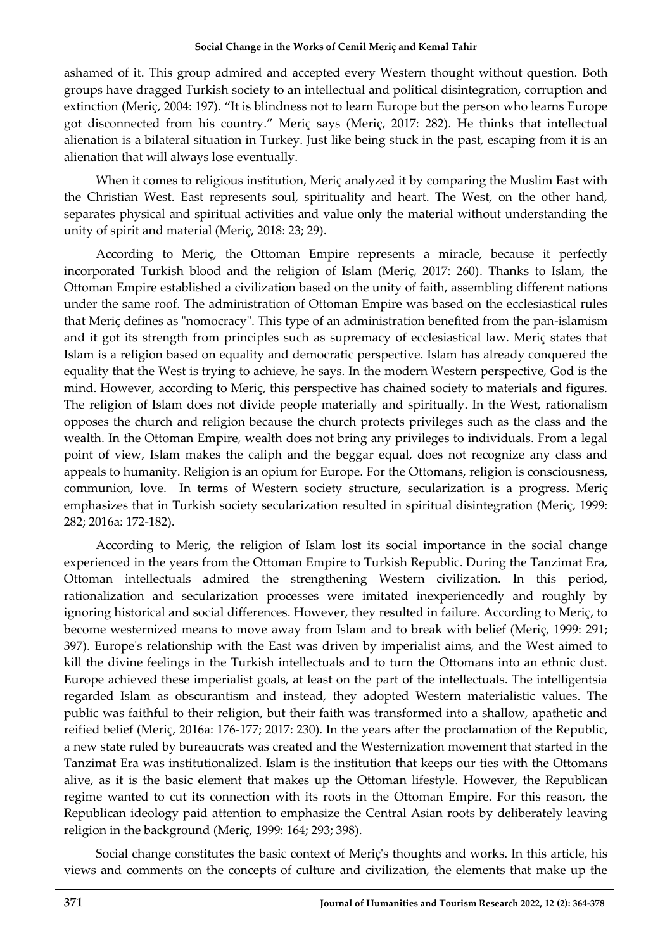ashamed of it. This group admired and accepted every Western thought without question. Both groups have dragged Turkish society to an intellectual and political disintegration, corruption and extinction (Meriç, 2004: 197). "It is blindness not to learn Europe but the person who learns Europe got disconnected from his country." Meriç says (Meriç, 2017: 282). He thinks that intellectual alienation is a bilateral situation in Turkey. Just like being stuck in the past, escaping from it is an alienation that will always lose eventually.

When it comes to religious institution, Meriç analyzed it by comparing the Muslim East with the Christian West. East represents soul, spirituality and heart. The West, on the other hand, separates physical and spiritual activities and value only the material without understanding the unity of spirit and material (Meriç, 2018: 23; 29).

According to Meriç, the Ottoman Empire represents a miracle, because it perfectly incorporated Turkish blood and the religion of Islam (Meriç, 2017: 260). Thanks to Islam, the Ottoman Empire established a civilization based on the unity of faith, assembling different nations under the same roof. The administration of Ottoman Empire was based on the ecclesiastical rules that Meriç defines as "nomocracy". This type of an administration benefited from the pan-islamism and it got its strength from principles such as supremacy of ecclesiastical law. Meriç states that Islam is a religion based on equality and democratic perspective. Islam has already conquered the equality that the West is trying to achieve, he says. In the modern Western perspective, God is the mind. However, according to Meriç, this perspective has chained society to materials and figures. The religion of Islam does not divide people materially and spiritually. In the West, rationalism opposes the church and religion because the church protects privileges such as the class and the wealth. In the Ottoman Empire, wealth does not bring any privileges to individuals. From a legal point of view, Islam makes the caliph and the beggar equal, does not recognize any class and appeals to humanity. Religion is an opium for Europe. For the Ottomans, religion is consciousness, communion, love. In terms of Western society structure, secularization is a progress. Meriç emphasizes that in Turkish society secularization resulted in spiritual disintegration (Meriç, 1999: 282; 2016a: 172-182).

According to Meriç, the religion of Islam lost its social importance in the social change experienced in the years from the Ottoman Empire to Turkish Republic. During the Tanzimat Era, Ottoman intellectuals admired the strengthening Western civilization. In this period, rationalization and secularization processes were imitated inexperiencedly and roughly by ignoring historical and social differences. However, they resulted in failure. According to Meriç, to become westernized means to move away from Islam and to break with belief (Meriç, 1999: 291; 397). Europe's relationship with the East was driven by imperialist aims, and the West aimed to kill the divine feelings in the Turkish intellectuals and to turn the Ottomans into an ethnic dust. Europe achieved these imperialist goals, at least on the part of the intellectuals. The intelligentsia regarded Islam as obscurantism and instead, they adopted Western materialistic values. The public was faithful to their religion, but their faith was transformed into a shallow, apathetic and reified belief (Meriç, 2016a: 176-177; 2017: 230). In the years after the proclamation of the Republic, a new state ruled by bureaucrats was created and the Westernization movement that started in the Tanzimat Era was institutionalized. Islam is the institution that keeps our ties with the Ottomans alive, as it is the basic element that makes up the Ottoman lifestyle. However, the Republican regime wanted to cut its connection with its roots in the Ottoman Empire. For this reason, the Republican ideology paid attention to emphasize the Central Asian roots by deliberately leaving religion in the background (Meriç, 1999: 164; 293; 398).

Social change constitutes the basic context of Meriç's thoughts and works. In this article, his views and comments on the concepts of culture and civilization, the elements that make up the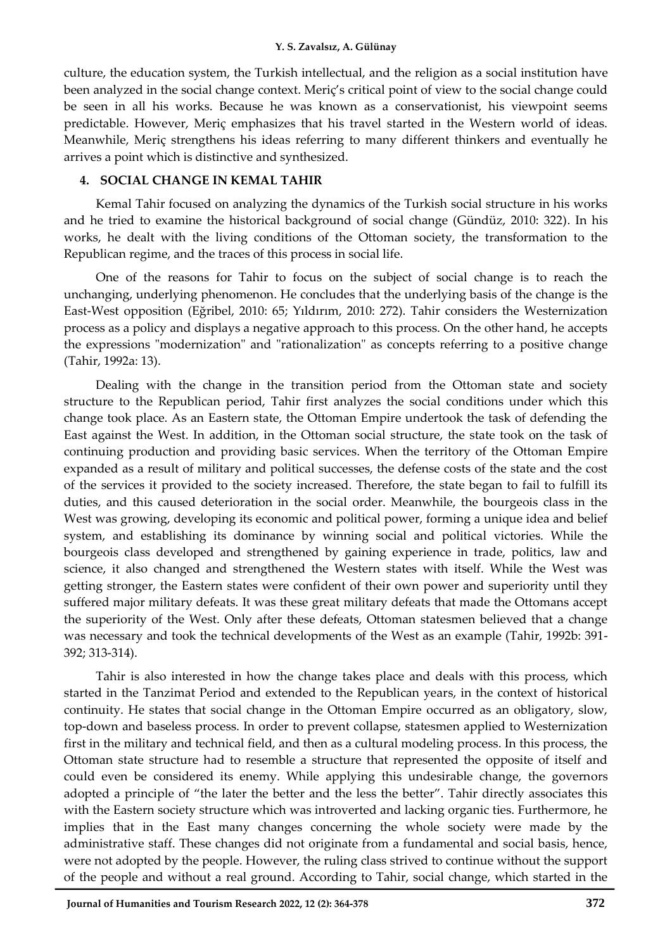culture, the education system, the Turkish intellectual, and the religion as a social institution have been analyzed in the social change context. Meriç's critical point of view to the social change could be seen in all his works. Because he was known as a conservationist, his viewpoint seems predictable. However, Meriç emphasizes that his travel started in the Western world of ideas. Meanwhile, Meriç strengthens his ideas referring to many different thinkers and eventually he arrives a point which is distinctive and synthesized.

## **4. SOCIAL CHANGE IN KEMAL TAHIR**

Kemal Tahir focused on analyzing the dynamics of the Turkish social structure in his works and he tried to examine the historical background of social change (Gündüz, 2010: 322). In his works, he dealt with the living conditions of the Ottoman society, the transformation to the Republican regime, and the traces of this process in social life.

One of the reasons for Tahir to focus on the subject of social change is to reach the unchanging, underlying phenomenon. He concludes that the underlying basis of the change is the East-West opposition (Eğribel, 2010: 65; Yıldırım, 2010: 272). Tahir considers the Westernization process as a policy and displays a negative approach to this process. On the other hand, he accepts the expressions "modernization" and "rationalization" as concepts referring to a positive change (Tahir, 1992a: 13).

Dealing with the change in the transition period from the Ottoman state and society structure to the Republican period, Tahir first analyzes the social conditions under which this change took place. As an Eastern state, the Ottoman Empire undertook the task of defending the East against the West. In addition, in the Ottoman social structure, the state took on the task of continuing production and providing basic services. When the territory of the Ottoman Empire expanded as a result of military and political successes, the defense costs of the state and the cost of the services it provided to the society increased. Therefore, the state began to fail to fulfill its duties, and this caused deterioration in the social order. Meanwhile, the bourgeois class in the West was growing, developing its economic and political power, forming a unique idea and belief system, and establishing its dominance by winning social and political victories. While the bourgeois class developed and strengthened by gaining experience in trade, politics, law and science, it also changed and strengthened the Western states with itself. While the West was getting stronger, the Eastern states were confident of their own power and superiority until they suffered major military defeats. It was these great military defeats that made the Ottomans accept the superiority of the West. Only after these defeats, Ottoman statesmen believed that a change was necessary and took the technical developments of the West as an example (Tahir, 1992b: 391- 392; 313-314).

Tahir is also interested in how the change takes place and deals with this process, which started in the Tanzimat Period and extended to the Republican years, in the context of historical continuity. He states that social change in the Ottoman Empire occurred as an obligatory, slow, top-down and baseless process. In order to prevent collapse, statesmen applied to Westernization first in the military and technical field, and then as a cultural modeling process. In this process, the Ottoman state structure had to resemble a structure that represented the opposite of itself and could even be considered its enemy. While applying this undesirable change, the governors adopted a principle of "the later the better and the less the better". Tahir directly associates this with the Eastern society structure which was introverted and lacking organic ties. Furthermore, he implies that in the East many changes concerning the whole society were made by the administrative staff. These changes did not originate from a fundamental and social basis, hence, were not adopted by the people. However, the ruling class strived to continue without the support of the people and without a real ground. According to Tahir, social change, which started in the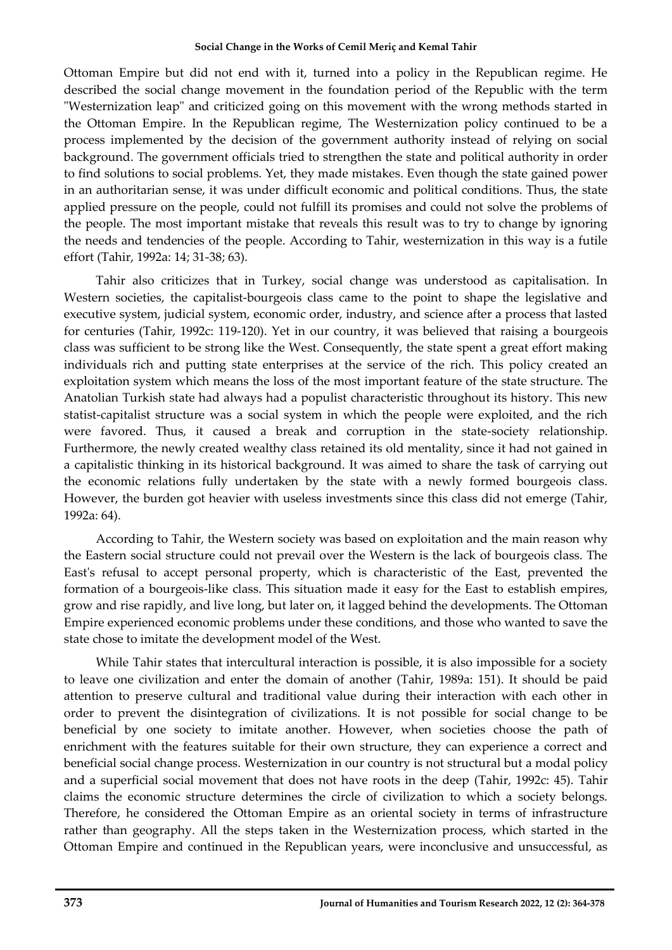Ottoman Empire but did not end with it, turned into a policy in the Republican regime. He described the social change movement in the foundation period of the Republic with the term "Westernization leap" and criticized going on this movement with the wrong methods started in the Ottoman Empire. In the Republican regime, The Westernization policy continued to be a process implemented by the decision of the government authority instead of relying on social background. The government officials tried to strengthen the state and political authority in order to find solutions to social problems. Yet, they made mistakes. Even though the state gained power in an authoritarian sense, it was under difficult economic and political conditions. Thus, the state applied pressure on the people, could not fulfill its promises and could not solve the problems of the people. The most important mistake that reveals this result was to try to change by ignoring the needs and tendencies of the people. According to Tahir, westernization in this way is a futile effort (Tahir, 1992a: 14; 31-38; 63).

Tahir also criticizes that in Turkey, social change was understood as capitalisation. In Western societies, the capitalist-bourgeois class came to the point to shape the legislative and executive system, judicial system, economic order, industry, and science after a process that lasted for centuries (Tahir, 1992c: 119-120). Yet in our country, it was believed that raising a bourgeois class was sufficient to be strong like the West. Consequently, the state spent a great effort making individuals rich and putting state enterprises at the service of the rich. This policy created an exploitation system which means the loss of the most important feature of the state structure. The Anatolian Turkish state had always had a populist characteristic throughout its history. This new statist-capitalist structure was a social system in which the people were exploited, and the rich were favored. Thus, it caused a break and corruption in the state-society relationship. Furthermore, the newly created wealthy class retained its old mentality, since it had not gained in a capitalistic thinking in its historical background. It was aimed to share the task of carrying out the economic relations fully undertaken by the state with a newly formed bourgeois class. However, the burden got heavier with useless investments since this class did not emerge (Tahir, 1992a: 64).

According to Tahir, the Western society was based on exploitation and the main reason why the Eastern social structure could not prevail over the Western is the lack of bourgeois class. The East's refusal to accept personal property, which is characteristic of the East, prevented the formation of a bourgeois-like class. This situation made it easy for the East to establish empires, grow and rise rapidly, and live long, but later on, it lagged behind the developments. The Ottoman Empire experienced economic problems under these conditions, and those who wanted to save the state chose to imitate the development model of the West.

While Tahir states that intercultural interaction is possible, it is also impossible for a society to leave one civilization and enter the domain of another (Tahir, 1989a: 151). It should be paid attention to preserve cultural and traditional value during their interaction with each other in order to prevent the disintegration of civilizations. It is not possible for social change to be beneficial by one society to imitate another. However, when societies choose the path of enrichment with the features suitable for their own structure, they can experience a correct and beneficial social change process. Westernization in our country is not structural but a modal policy and a superficial social movement that does not have roots in the deep (Tahir, 1992c: 45). Tahir claims the economic structure determines the circle of civilization to which a society belongs. Therefore, he considered the Ottoman Empire as an oriental society in terms of infrastructure rather than geography. All the steps taken in the Westernization process, which started in the Ottoman Empire and continued in the Republican years, were inconclusive and unsuccessful, as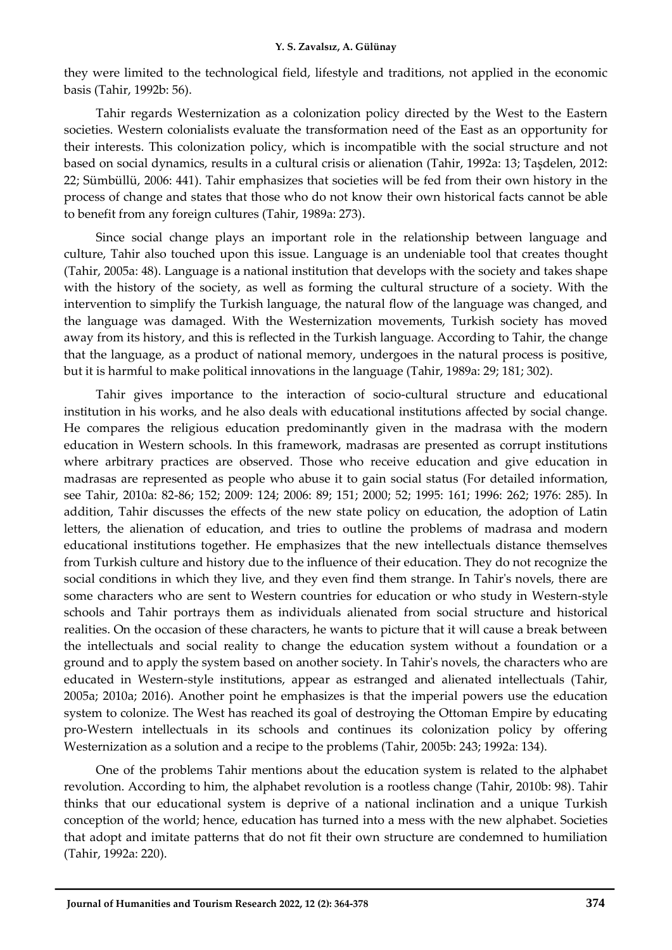they were limited to the technological field, lifestyle and traditions, not applied in the economic basis (Tahir, 1992b: 56).

Tahir regards Westernization as a colonization policy directed by the West to the Eastern societies. Western colonialists evaluate the transformation need of the East as an opportunity for their interests. This colonization policy, which is incompatible with the social structure and not based on social dynamics, results in a cultural crisis or alienation (Tahir, 1992a: 13; Taşdelen, 2012: 22; Sümbüllü, 2006: 441). Tahir emphasizes that societies will be fed from their own history in the process of change and states that those who do not know their own historical facts cannot be able to benefit from any foreign cultures (Tahir, 1989a: 273).

Since social change plays an important role in the relationship between language and culture, Tahir also touched upon this issue. Language is an undeniable tool that creates thought (Tahir, 2005a: 48). Language is a national institution that develops with the society and takes shape with the history of the society, as well as forming the cultural structure of a society. With the intervention to simplify the Turkish language, the natural flow of the language was changed, and the language was damaged. With the Westernization movements, Turkish society has moved away from its history, and this is reflected in the Turkish language. According to Tahir, the change that the language, as a product of national memory, undergoes in the natural process is positive, but it is harmful to make political innovations in the language (Tahir, 1989a: 29; 181; 302).

Tahir gives importance to the interaction of socio-cultural structure and educational institution in his works, and he also deals with educational institutions affected by social change. He compares the religious education predominantly given in the madrasa with the modern education in Western schools. In this framework, madrasas are presented as corrupt institutions where arbitrary practices are observed. Those who receive education and give education in madrasas are represented as people who abuse it to gain social status (For detailed information, see Tahir, 2010a: 82-86; 152; 2009: 124; 2006: 89; 151; 2000; 52; 1995: 161; 1996: 262; 1976: 285). In addition, Tahir discusses the effects of the new state policy on education, the adoption of Latin letters, the alienation of education, and tries to outline the problems of madrasa and modern educational institutions together. He emphasizes that the new intellectuals distance themselves from Turkish culture and history due to the influence of their education. They do not recognize the social conditions in which they live, and they even find them strange. In Tahir's novels, there are some characters who are sent to Western countries for education or who study in Western-style schools and Tahir portrays them as individuals alienated from social structure and historical realities. On the occasion of these characters, he wants to picture that it will cause a break between the intellectuals and social reality to change the education system without a foundation or a ground and to apply the system based on another society. In Tahir's novels, the characters who are educated in Western-style institutions, appear as estranged and alienated intellectuals (Tahir, 2005a; 2010a; 2016). Another point he emphasizes is that the imperial powers use the education system to colonize. The West has reached its goal of destroying the Ottoman Empire by educating pro-Western intellectuals in its schools and continues its colonization policy by offering Westernization as a solution and a recipe to the problems (Tahir, 2005b: 243; 1992a: 134).

One of the problems Tahir mentions about the education system is related to the alphabet revolution. According to him, the alphabet revolution is a rootless change (Tahir, 2010b: 98). Tahir thinks that our educational system is deprive of a national inclination and a unique Turkish conception of the world; hence, education has turned into a mess with the new alphabet. Societies that adopt and imitate patterns that do not fit their own structure are condemned to humiliation (Tahir, 1992a: 220).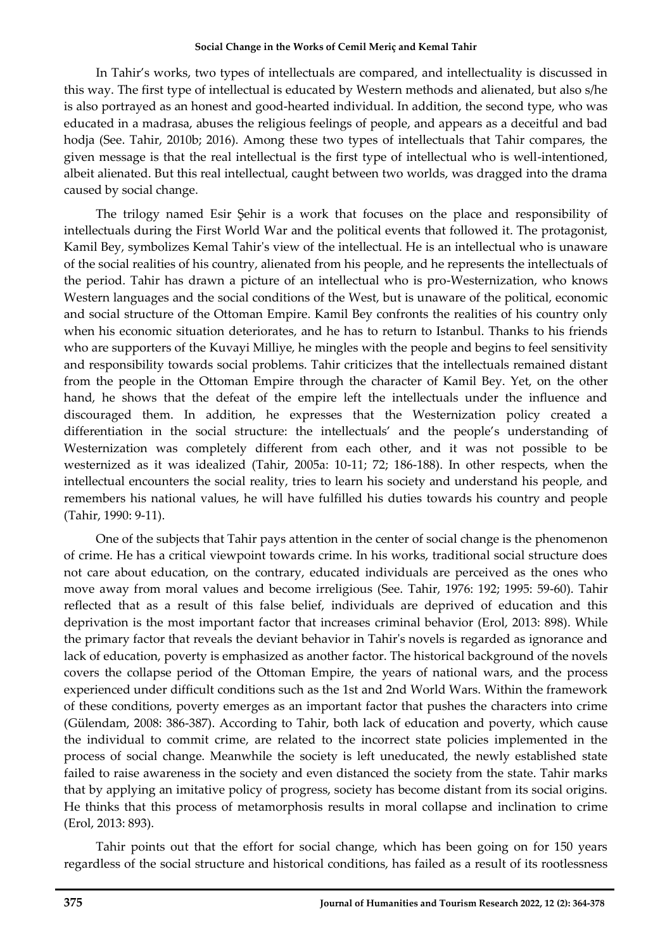In Tahir's works, two types of intellectuals are compared, and intellectuality is discussed in this way. The first type of intellectual is educated by Western methods and alienated, but also s/he is also portrayed as an honest and good-hearted individual. In addition, the second type, who was educated in a madrasa, abuses the religious feelings of people, and appears as a deceitful and bad hodja (See. Tahir, 2010b; 2016). Among these two types of intellectuals that Tahir compares, the given message is that the real intellectual is the first type of intellectual who is well-intentioned, albeit alienated. But this real intellectual, caught between two worlds, was dragged into the drama caused by social change.

The trilogy named Esir Şehir is a work that focuses on the place and responsibility of intellectuals during the First World War and the political events that followed it. The protagonist, Kamil Bey, symbolizes Kemal Tahir's view of the intellectual. He is an intellectual who is unaware of the social realities of his country, alienated from his people, and he represents the intellectuals of the period. Tahir has drawn a picture of an intellectual who is pro-Westernization, who knows Western languages and the social conditions of the West, but is unaware of the political, economic and social structure of the Ottoman Empire. Kamil Bey confronts the realities of his country only when his economic situation deteriorates, and he has to return to Istanbul. Thanks to his friends who are supporters of the Kuvayi Milliye, he mingles with the people and begins to feel sensitivity and responsibility towards social problems. Tahir criticizes that the intellectuals remained distant from the people in the Ottoman Empire through the character of Kamil Bey. Yet, on the other hand, he shows that the defeat of the empire left the intellectuals under the influence and discouraged them. In addition, he expresses that the Westernization policy created a differentiation in the social structure: the intellectuals' and the people's understanding of Westernization was completely different from each other, and it was not possible to be westernized as it was idealized (Tahir, 2005a: 10-11; 72; 186-188). In other respects, when the intellectual encounters the social reality, tries to learn his society and understand his people, and remembers his national values, he will have fulfilled his duties towards his country and people (Tahir, 1990: 9-11).

One of the subjects that Tahir pays attention in the center of social change is the phenomenon of crime. He has a critical viewpoint towards crime. In his works, traditional social structure does not care about education, on the contrary, educated individuals are perceived as the ones who move away from moral values and become irreligious (See. Tahir, 1976: 192; 1995: 59-60). Tahir reflected that as a result of this false belief, individuals are deprived of education and this deprivation is the most important factor that increases criminal behavior (Erol, 2013: 898). While the primary factor that reveals the deviant behavior in Tahir's novels is regarded as ignorance and lack of education, poverty is emphasized as another factor. The historical background of the novels covers the collapse period of the Ottoman Empire, the years of national wars, and the process experienced under difficult conditions such as the 1st and 2nd World Wars. Within the framework of these conditions, poverty emerges as an important factor that pushes the characters into crime (Gülendam, 2008: 386-387). According to Tahir, both lack of education and poverty, which cause the individual to commit crime, are related to the incorrect state policies implemented in the process of social change. Meanwhile the society is left uneducated, the newly established state failed to raise awareness in the society and even distanced the society from the state. Tahir marks that by applying an imitative policy of progress, society has become distant from its social origins. He thinks that this process of metamorphosis results in moral collapse and inclination to crime (Erol, 2013: 893).

Tahir points out that the effort for social change, which has been going on for 150 years regardless of the social structure and historical conditions, has failed as a result of its rootlessness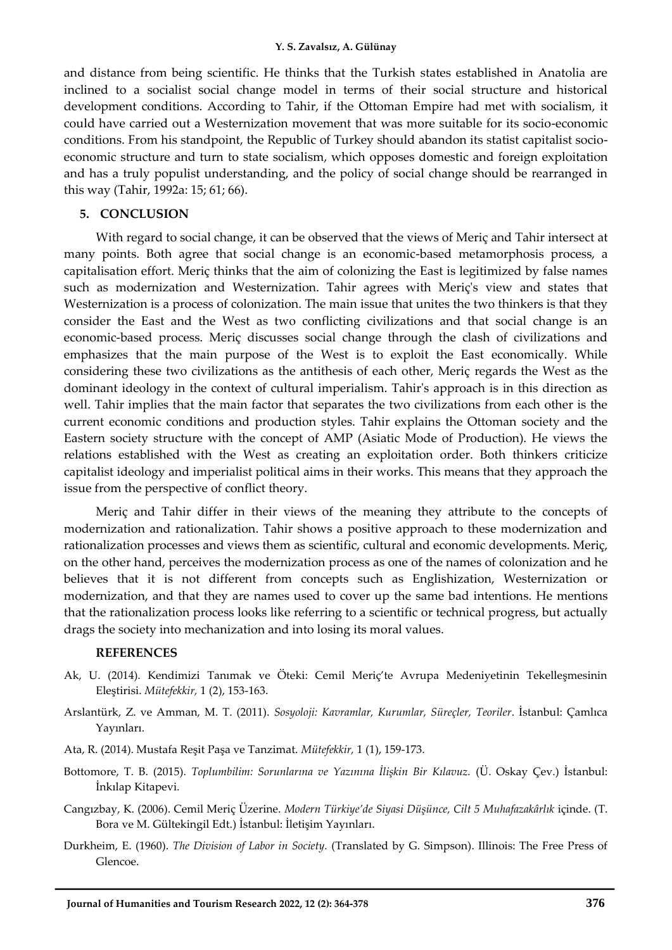and distance from being scientific. He thinks that the Turkish states established in Anatolia are inclined to a socialist social change model in terms of their social structure and historical development conditions. According to Tahir, if the Ottoman Empire had met with socialism, it could have carried out a Westernization movement that was more suitable for its socio-economic conditions. From his standpoint, the Republic of Turkey should abandon its statist capitalist socioeconomic structure and turn to state socialism, which opposes domestic and foreign exploitation and has a truly populist understanding, and the policy of social change should be rearranged in this way (Tahir, 1992a: 15; 61; 66).

## **5. CONCLUSION**

With regard to social change, it can be observed that the views of Meriç and Tahir intersect at many points. Both agree that social change is an economic-based metamorphosis process, a capitalisation effort. Meriç thinks that the aim of colonizing the East is legitimized by false names such as modernization and Westernization. Tahir agrees with Meriç's view and states that Westernization is a process of colonization. The main issue that unites the two thinkers is that they consider the East and the West as two conflicting civilizations and that social change is an economic-based process. Meriç discusses social change through the clash of civilizations and emphasizes that the main purpose of the West is to exploit the East economically. While considering these two civilizations as the antithesis of each other, Meriç regards the West as the dominant ideology in the context of cultural imperialism. Tahir's approach is in this direction as well. Tahir implies that the main factor that separates the two civilizations from each other is the current economic conditions and production styles. Tahir explains the Ottoman society and the Eastern society structure with the concept of AMP (Asiatic Mode of Production). He views the relations established with the West as creating an exploitation order. Both thinkers criticize capitalist ideology and imperialist political aims in their works. This means that they approach the issue from the perspective of conflict theory.

Meriç and Tahir differ in their views of the meaning they attribute to the concepts of modernization and rationalization. Tahir shows a positive approach to these modernization and rationalization processes and views them as scientific, cultural and economic developments. Meriç, on the other hand, perceives the modernization process as one of the names of colonization and he believes that it is not different from concepts such as Englishization, Westernization or modernization, and that they are names used to cover up the same bad intentions. He mentions that the rationalization process looks like referring to a scientific or technical progress, but actually drags the society into mechanization and into losing its moral values.

## **REFERENCES**

- Ak, U. (2014). Kendimizi Tanımak ve Öteki: Cemil Meriç'te Avrupa Medeniyetinin Tekelleşmesinin Eleştirisi. *Mütefekkir,* 1 (2), 153-163.
- Arslantürk, Z. ve Amman, M. T. (2011). *Sosyoloji: Kavramlar, Kurumlar, Süreçler, Teoriler*. İstanbul: Çamlıca Yayınları.
- Ata, R. (2014). Mustafa Reşit Paşa ve Tanzimat. *Mütefekkir,* 1 (1), 159-173.
- Bottomore, T. B. (2015). *Toplumbilim: Sorunlarına ve Yazınına İlişkin Bir Kılavuz.* (Ü. Oskay Çev.) İstanbul: İnkılap Kitapevi.
- Cangızbay, K. (2006). Cemil Meriç Üzerine. *Modern Türkiye'de Siyasi Düşünce, Cilt 5 Muhafazakârlık* içinde. (T. Bora ve M. Gültekingil Edt.) İstanbul: İletişim Yayınları.
- Durkheim, E. (1960). *The Division of Labor in Society.* (Translated by G. Simpson). Illinois: The Free Press of Glencoe.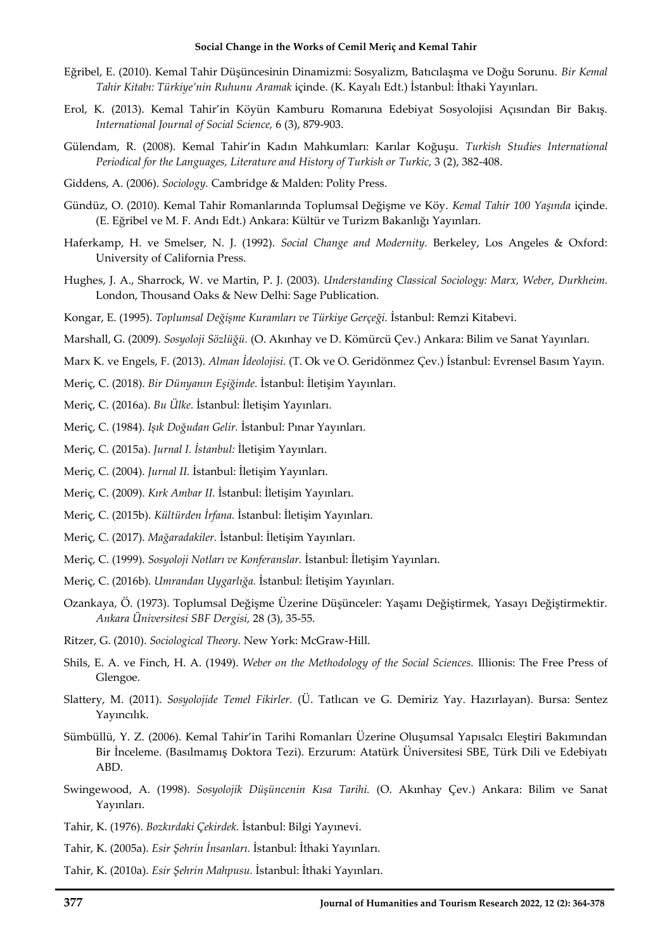- Eğribel, E. (2010). Kemal Tahir Düşüncesinin Dinamizmi: Sosyalizm, Batıcılaşma ve Doğu Sorunu. *Bir Kemal Tahir Kitabı: Türkiye'nin Ruhunu Aramak* içinde. (K. Kayalı Edt.) İstanbul: İthaki Yayınları.
- Erol, K. (2013). Kemal Tahir'in Köyün Kamburu Romanına Edebiyat Sosyolojisi Açısından Bir Bakış. *International Journal of Social Science,* 6 (3), 879-903.
- Gülendam, R. (2008). Kemal Tahir'in Kadın Mahkumları: Karılar Koğuşu. *Turkish Studies International Periodical for the Languages, Literature and History of Turkish or Turkic,* 3 (2), 382-408.
- Giddens, A. (2006). *Sociology.* Cambridge & Malden: Polity Press.
- Gündüz, O. (2010). Kemal Tahir Romanlarında Toplumsal Değişme ve Köy. *Kemal Tahir 100 Yaşında* içinde. (E. Eğribel ve M. F. Andı Edt.) Ankara: Kültür ve Turizm Bakanlığı Yayınları.
- Haferkamp, H. ve Smelser, N. J. (1992). *Social Change and Modernity.* Berkeley, Los Angeles & Oxford: University of California Press.
- Hughes, J. A., Sharrock, W. ve Martin, P. J. (2003). *Understanding Classical Sociology: Marx, Weber, Durkheim.*  London, Thousand Oaks & New Delhi: Sage Publication.
- Kongar, E. (1995). *Toplumsal Değişme Kuramları ve Türkiye Gerçeği.* İstanbul: Remzi Kitabevi.
- Marshall, G. (2009). *Sosyoloji Sözlüğü.* (O. Akınhay ve D. Kömürcü Çev.) Ankara: Bilim ve Sanat Yayınları.
- Marx K. ve Engels, F. (2013). *Alman İdeolojisi.* (T. Ok ve O. Geridönmez Çev.) İstanbul: Evrensel Basım Yayın.
- Meriç, C. (2018). *Bir Dünyanın Eşiğinde.* İstanbul: İletişim Yayınları.
- Meriç, C. (2016a). *Bu Ülke.* İstanbul: İletişim Yayınları.
- Meriç, C. (1984). *Işık Doğudan Gelir.* İstanbul: Pınar Yayınları.
- Meriç, C. (2015a). *Jurnal I. İstanbul:* İletişim Yayınları.
- Meriç, C. (2004). *Jurnal II.* İstanbul: İletişim Yayınları.
- Meriç, C. (2009). *Kırk Ambar II.* İstanbul: İletişim Yayınları.
- Meriç, C. (2015b). *Kültürden İrfana.* İstanbul: İletişim Yayınları.
- Meriç, C. (2017). *Mağaradakiler.* İstanbul: İletişim Yayınları.
- Meriç, C. (1999). *Sosyoloji Notları ve Konferanslar.* İstanbul: İletişim Yayınları.
- Meriç, C. (2016b). *Umrandan Uygarlığa.* İstanbul: İletişim Yayınları.
- Ozankaya, Ö. (1973). Toplumsal Değişme Üzerine Düşünceler: Yaşamı Değiştirmek, Yasayı Değiştirmektir. *Ankara Üniversitesi SBF Dergisi,* 28 (3), 35-55.
- Ritzer, G. (2010). *Sociological Theory.* New York: McGraw-Hill.
- Shils, E. A. ve Finch, H. A. (1949). *Weber on the Methodology of the Social Sciences.* Illionis: The Free Press of Glengoe.
- Slattery, M. (2011). *Sosyolojide Temel Fikirler.* (Ü. Tatlıcan ve G. Demiriz Yay. Hazırlayan). Bursa: Sentez Yayıncılık.
- Sümbüllü, Y. Z. (2006). Kemal Tahir'in Tarihi Romanları Üzerine Oluşumsal Yapısalcı Eleştiri Bakımından Bir İnceleme. (Basılmamış Doktora Tezi). Erzurum: Atatürk Üniversitesi SBE, Türk Dili ve Edebiyatı ABD.
- Swingewood, A. (1998). *Sosyolojik Düşüncenin Kısa Tarihi.* (O. Akınhay Çev.) Ankara: Bilim ve Sanat Yayınları.
- Tahir, K. (1976). *Bozkırdaki Çekirdek.* İstanbul: Bilgi Yayınevi.
- Tahir, K. (2005a). *Esir Şehrin İnsanları.* İstanbul: İthaki Yayınları.
- Tahir, K. (2010a). *Esir Şehrin Mahpusu.* İstanbul: İthaki Yayınları.